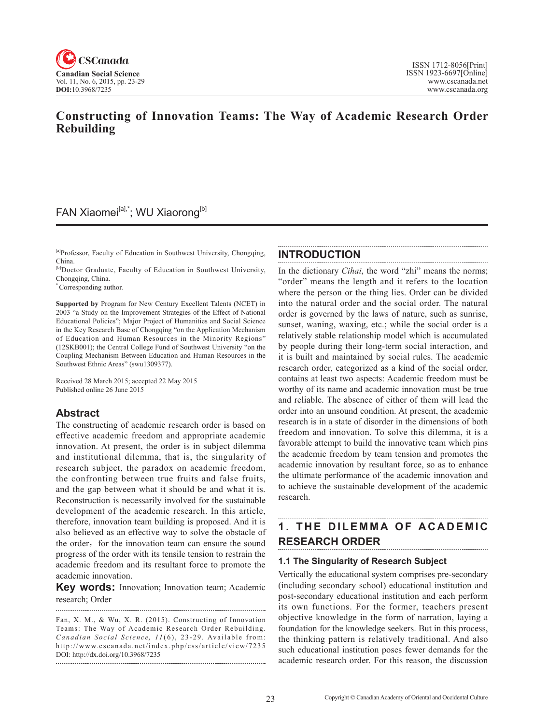

## **Constructing of Innovation Teams: The Way of Academic Research Order Rebuilding**

## FAN Xiaomei<sup>[a],\*</sup>; WU Xiaorong<sup>[b]</sup>

[a]Professor, Faculty of Education in Southwest University, Chongqing, China.

[b]Doctor Graduate, Faculty of Education in Southwest University, Chongqing, China.

\* Corresponding author.

**Supported by** Program for New Century Excellent Talents (NCET) in 2003 "a Study on the Improvement Strategies of the Effect of National Educational Policies"; Major Project of Humanities and Social Science in the Key Research Base of Chongqing "on the Application Mechanism of Education and Human Resources in the Minority Regions" (12SKB001); the Central College Fund of Southwest University "on the Coupling Mechanism Between Education and Human Resources in the Southwest Ethnic Areas" (swu1309377).

Received 28 March 2015; accepted 22 May 2015 Published online 26 June 2015

### **Abstract**

The constructing of academic research order is based on effective academic freedom and appropriate academic innovation. At present, the order is in subject dilemma and institutional dilemma, that is, the singularity of research subject, the paradox on academic freedom, the confronting between true fruits and false fruits, and the gap between what it should be and what it is. Reconstruction is necessarily involved for the sustainable development of the academic research. In this article, therefore, innovation team building is proposed. And it is also believed as an effective way to solve the obstacle of the order, for the innovation team can ensure the sound progress of the order with its tensile tension to restrain the academic freedom and its resultant force to promote the academic innovation.

**Key words:** Innovation; Innovation team; Academic research; Order 

Fan, X. M., & Wu, X. R. (2015). Constructing of Innovation Teams: The Way of Academic Research Order Rebuilding. *Canadian Social Science*, <sup>11</sup> (6), 23-29. Available from: http://www.cscanada.net/index.php/css/article/view/7235 DOI: http://dx.doi.org/10.3968/7235

### **INTRODUCTION**

In the dictionary *Cihai*, the word "zhi" means the norms; "order" means the length and it refers to the location where the person or the thing lies. Order can be divided into the natural order and the social order. The natural order is governed by the laws of nature, such as sunrise, sunset, waning, waxing, etc.; while the social order is a relatively stable relationship model which is accumulated by people during their long-term social interaction, and it is built and maintained by social rules. The academic research order, categorized as a kind of the social order, contains at least two aspects: Academic freedom must be worthy of its name and academic innovation must be true and reliable. The absence of either of them will lead the order into an unsound condition. At present, the academic research is in a state of disorder in the dimensions of both freedom and innovation. To solve this dilemma, it is a favorable attempt to build the innovative team which pins the academic freedom by team tension and promotes the academic innovation by resultant force, so as to enhance the ultimate performance of the academic innovation and to achieve the sustainable development of the academic research.

## **1. THE DILEMMA OF ACADEMIC RESEARCH ORDER**

#### **1.1 The Singularity of Research Subject**

Vertically the educational system comprises pre-secondary (including secondary school) educational institution and post-secondary educational institution and each perform its own functions. For the former, teachers present objective knowledge in the form of narration, laying a foundation for the knowledge seekers. But in this process, the thinking pattern is relatively traditional. And also such educational institution poses fewer demands for the academic research order. For this reason, the discussion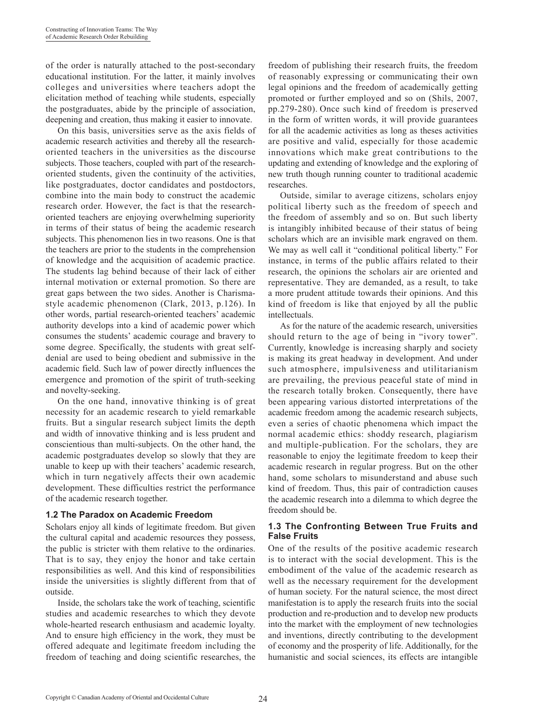of the order is naturally attached to the post-secondary educational institution. For the latter, it mainly involves colleges and universities where teachers adopt the elicitation method of teaching while students, especially the postgraduates, abide by the principle of association, deepening and creation, thus making it easier to innovate.

On this basis, universities serve as the axis fields of academic research activities and thereby all the researchoriented teachers in the universities as the discourse subjects. Those teachers, coupled with part of the researchoriented students, given the continuity of the activities, like postgraduates, doctor candidates and postdoctors, combine into the main body to construct the academic research order. However, the fact is that the researchoriented teachers are enjoying overwhelming superiority in terms of their status of being the academic research subjects. This phenomenon lies in two reasons. One is that the teachers are prior to the students in the comprehension of knowledge and the acquisition of academic practice. The students lag behind because of their lack of either internal motivation or external promotion. So there are great gaps between the two sides. Another is Charismastyle academic phenomenon (Clark, 2013, p.126). In other words, partial research-oriented teachers' academic authority develops into a kind of academic power which consumes the students' academic courage and bravery to some degree. Specifically, the students with great selfdenial are used to being obedient and submissive in the academic field. Such law of power directly influences the emergence and promotion of the spirit of truth-seeking and novelty-seeking.

On the one hand, innovative thinking is of great necessity for an academic research to yield remarkable fruits. But a singular research subject limits the depth and width of innovative thinking and is less prudent and conscientious than multi-subjects. On the other hand, the academic postgraduates develop so slowly that they are unable to keep up with their teachers' academic research, which in turn negatively affects their own academic development. These difficulties restrict the performance of the academic research together.

#### **1.2 The Paradox on Academic Freedom**

Scholars enjoy all kinds of legitimate freedom. But given the cultural capital and academic resources they possess, the public is stricter with them relative to the ordinaries. That is to say, they enjoy the honor and take certain responsibilities as well. And this kind of responsibilities inside the universities is slightly different from that of outside.

Inside, the scholars take the work of teaching, scientific studies and academic researches to which they devote whole-hearted research enthusiasm and academic loyalty. And to ensure high efficiency in the work, they must be offered adequate and legitimate freedom including the freedom of teaching and doing scientific researches, the

freedom of publishing their research fruits, the freedom of reasonably expressing or communicating their own legal opinions and the freedom of academically getting promoted or further employed and so on (Shils, 2007, pp.279-280). Once such kind of freedom is preserved in the form of written words, it will provide guarantees for all the academic activities as long as theses activities are positive and valid, especially for those academic innovations which make great contributions to the updating and extending of knowledge and the exploring of new truth though running counter to traditional academic researches.

Outside, similar to average citizens, scholars enjoy political liberty such as the freedom of speech and the freedom of assembly and so on. But such liberty is intangibly inhibited because of their status of being scholars which are an invisible mark engraved on them. We may as well call it "conditional political liberty." For instance, in terms of the public affairs related to their research, the opinions the scholars air are oriented and representative. They are demanded, as a result, to take a more prudent attitude towards their opinions. And this kind of freedom is like that enjoyed by all the public intellectuals.

As for the nature of the academic research, universities should return to the age of being in "ivory tower". Currently, knowledge is increasing sharply and society is making its great headway in development. And under such atmosphere, impulsiveness and utilitarianism are prevailing, the previous peaceful state of mind in the research totally broken. Consequently, there have been appearing various distorted interpretations of the academic freedom among the academic research subjects, even a series of chaotic phenomena which impact the normal academic ethics: shoddy research, plagiarism and multiple-publication. For the scholars, they are reasonable to enjoy the legitimate freedom to keep their academic research in regular progress. But on the other hand, some scholars to misunderstand and abuse such kind of freedom. Thus, this pair of contradiction causes the academic research into a dilemma to which degree the freedom should be.

#### **1.3 The Confronting Between True Fruits and False Fruits**

One of the results of the positive academic research is to interact with the social development. This is the embodiment of the value of the academic research as well as the necessary requirement for the development of human society. For the natural science, the most direct manifestation is to apply the research fruits into the social production and re-production and to develop new products into the market with the employment of new technologies and inventions, directly contributing to the development of economy and the prosperity of life. Additionally, for the humanistic and social sciences, its effects are intangible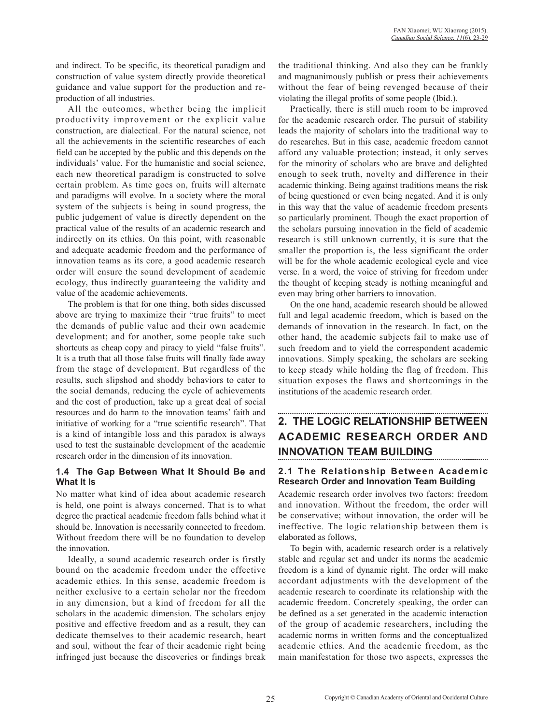and indirect. To be specific, its theoretical paradigm and construction of value system directly provide theoretical guidance and value support for the production and reproduction of all industries.

All the outcomes, whether being the implicit productivity improvement or the explicit value construction, are dialectical. For the natural science, not all the achievements in the scientific researches of each field can be accepted by the public and this depends on the individuals' value. For the humanistic and social science, each new theoretical paradigm is constructed to solve certain problem. As time goes on, fruits will alternate and paradigms will evolve. In a society where the moral system of the subjects is being in sound progress, the public judgement of value is directly dependent on the practical value of the results of an academic research and indirectly on its ethics. On this point, with reasonable and adequate academic freedom and the performance of innovation teams as its core, a good academic research order will ensure the sound development of academic ecology, thus indirectly guaranteeing the validity and value of the academic achievements.

The problem is that for one thing, both sides discussed above are trying to maximize their "true fruits" to meet the demands of public value and their own academic development; and for another, some people take such shortcuts as cheap copy and piracy to yield "false fruits". It is a truth that all those false fruits will finally fade away from the stage of development. But regardless of the results, such slipshod and shoddy behaviors to cater to the social demands, reducing the cycle of achievements and the cost of production, take up a great deal of social resources and do harm to the innovation teams' faith and initiative of working for a "true scientific research". That is a kind of intangible loss and this paradox is always used to test the sustainable development of the academic research order in the dimension of its innovation.

#### **1.4 The Gap Between What It Should Be and What It Is**

No matter what kind of idea about academic research is held, one point is always concerned. That is to what degree the practical academic freedom falls behind what it should be. Innovation is necessarily connected to freedom. Without freedom there will be no foundation to develop the innovation.

Ideally, a sound academic research order is firstly bound on the academic freedom under the effective academic ethics. In this sense, academic freedom is neither exclusive to a certain scholar nor the freedom in any dimension, but a kind of freedom for all the scholars in the academic dimension. The scholars enjoy positive and effective freedom and as a result, they can dedicate themselves to their academic research, heart and soul, without the fear of their academic right being infringed just because the discoveries or findings break

the traditional thinking. And also they can be frankly and magnanimously publish or press their achievements without the fear of being revenged because of their violating the illegal profits of some people (Ibid.).

Practically, there is still much room to be improved for the academic research order. The pursuit of stability leads the majority of scholars into the traditional way to do researches. But in this case, academic freedom cannot afford any valuable protection; instead, it only serves for the minority of scholars who are brave and delighted enough to seek truth, novelty and difference in their academic thinking. Being against traditions means the risk of being questioned or even being negated. And it is only in this way that the value of academic freedom presents so particularly prominent. Though the exact proportion of the scholars pursuing innovation in the field of academic research is still unknown currently, it is sure that the smaller the proportion is, the less significant the order will be for the whole academic ecological cycle and vice verse. In a word, the voice of striving for freedom under the thought of keeping steady is nothing meaningful and even may bring other barriers to innovation.

On the one hand, academic research should be allowed full and legal academic freedom, which is based on the demands of innovation in the research. In fact, on the other hand, the academic subjects fail to make use of such freedom and to yield the correspondent academic innovations. Simply speaking, the scholars are seeking to keep steady while holding the flag of freedom. This situation exposes the flaws and shortcomings in the institutions of the academic research order.

# **2. THE LOGIC RELATIONSHIP BETWEEN ACADEMIC RESEARCH ORDER AND INNOVATION TEAM BUILDING**

#### **2.1 The Relationship Between Academic Research Order and Innovation Team Building**

Academic research order involves two factors: freedom and innovation. Without the freedom, the order will be conservative; without innovation, the order will be ineffective. The logic relationship between them is elaborated as follows,

To begin with, academic research order is a relatively stable and regular set and under its norms the academic freedom is a kind of dynamic right. The order will make accordant adjustments with the development of the academic research to coordinate its relationship with the academic freedom. Concretely speaking, the order can be defined as a set generated in the academic interaction of the group of academic researchers, including the academic norms in written forms and the conceptualized academic ethics. And the academic freedom, as the main manifestation for those two aspects, expresses the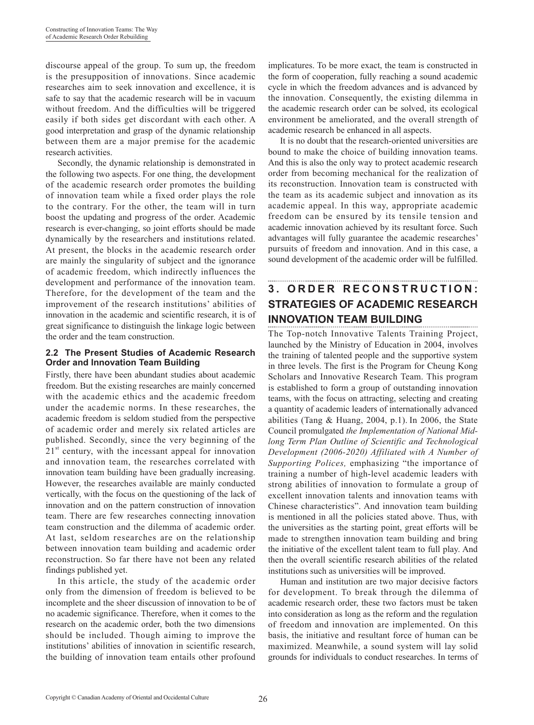discourse appeal of the group. To sum up, the freedom is the presupposition of innovations. Since academic researches aim to seek innovation and excellence, it is safe to say that the academic research will be in vacuum without freedom. And the difficulties will be triggered easily if both sides get discordant with each other. A good interpretation and grasp of the dynamic relationship between them are a major premise for the academic research activities.

Secondly, the dynamic relationship is demonstrated in the following two aspects. For one thing, the development of the academic research order promotes the building of innovation team while a fixed order plays the role to the contrary. For the other, the team will in turn boost the updating and progress of the order. Academic research is ever-changing, so joint efforts should be made dynamically by the researchers and institutions related. At present, the blocks in the academic research order are mainly the singularity of subject and the ignorance of academic freedom, which indirectly influences the development and performance of the innovation team. Therefore, for the development of the team and the improvement of the research institutions' abilities of innovation in the academic and scientific research, it is of great significance to distinguish the linkage logic between the order and the team construction.

#### **2.2 The Present Studies of Academic Research Order and Innovation Team Building**

Firstly, there have been abundant studies about academic freedom. But the existing researches are mainly concerned with the academic ethics and the academic freedom under the academic norms. In these researches, the academic freedom is seldom studied from the perspective of academic order and merely six related articles are published. Secondly, since the very beginning of the  $21<sup>st</sup>$  century, with the incessant appeal for innovation and innovation team, the researches correlated with innovation team building have been gradually increasing. However, the researches available are mainly conducted vertically, with the focus on the questioning of the lack of innovation and on the pattern construction of innovation team. There are few researches connecting innovation team construction and the dilemma of academic order. At last, seldom researches are on the relationship between innovation team building and academic order reconstruction. So far there have not been any related findings published yet.

In this article, the study of the academic order only from the dimension of freedom is believed to be incomplete and the sheer discussion of innovation to be of no academic significance. Therefore, when it comes to the research on the academic order, both the two dimensions should be included. Though aiming to improve the institutions' abilities of innovation in scientific research, the building of innovation team entails other profound

implicatures. To be more exact, the team is constructed in the form of cooperation, fully reaching a sound academic cycle in which the freedom advances and is advanced by the innovation. Consequently, the existing dilemma in the academic research order can be solved, its ecological environment be ameliorated, and the overall strength of academic research be enhanced in all aspects.

It is no doubt that the research-oriented universities are bound to make the choice of building innovation teams. And this is also the only way to protect academic research order from becoming mechanical for the realization of its reconstruction. Innovation team is constructed with the team as its academic subject and innovation as its academic appeal. In this way, appropriate academic freedom can be ensured by its tensile tension and academic innovation achieved by its resultant force. Such advantages will fully guarantee the academic researches' pursuits of freedom and innovation. And in this case, a sound development of the academic order will be fulfilled.

# **3 . O R D E R R E C O N S T R U C T I O N : STRATEGIES OF ACADEMIC RESEARCH INNOVATION TEAM BUILDING**

The Top-notch Innovative Talents Training Project, launched by the Ministry of Education in 2004, involves the training of talented people and the supportive system in three levels. The first is the Program for Cheung Kong Scholars and Innovative Research Team. This program is established to form a group of outstanding innovation teams, with the focus on attracting, selecting and creating a quantity of academic leaders of internationally advanced abilities (Tang & Huang, 2004, p.1). In 2006, the State Council promulgated *the Implementation of National Midlong Term Plan Outline of Scientific and Technological Development (2006-2020) Affiliated with A Number of Supporting Polices,* emphasizing "the importance of training a number of high-level academic leaders with strong abilities of innovation to formulate a group of excellent innovation talents and innovation teams with Chinese characteristics". And innovation team building is mentioned in all the policies stated above. Thus, with the universities as the starting point, great efforts will be made to strengthen innovation team building and bring the initiative of the excellent talent team to full play. And then the overall scientific research abilities of the related institutions such as universities will be improved.

Human and institution are two major decisive factors for development. To break through the dilemma of academic research order, these two factors must be taken into consideration as long as the reform and the regulation of freedom and innovation are implemented. On this basis, the initiative and resultant force of human can be maximized. Meanwhile, a sound system will lay solid grounds for individuals to conduct researches. In terms of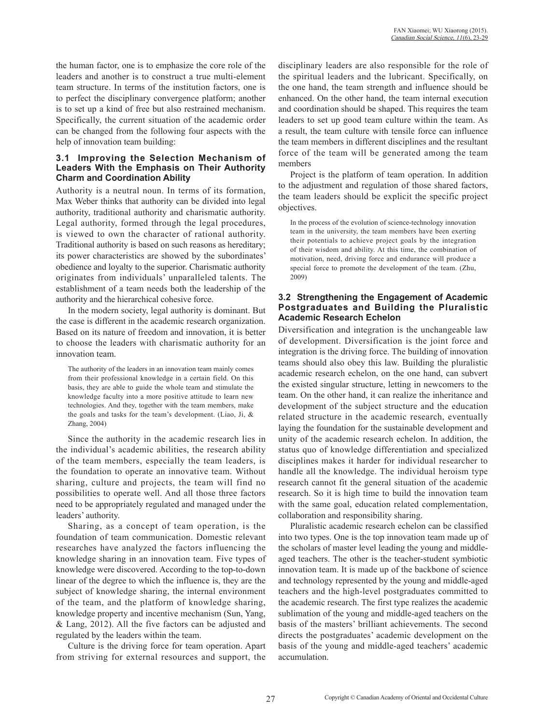the human factor, one is to emphasize the core role of the leaders and another is to construct a true multi-element team structure. In terms of the institution factors, one is to perfect the disciplinary convergence platform; another is to set up a kind of free but also restrained mechanism. Specifically, the current situation of the academic order can be changed from the following four aspects with the help of innovation team building:

#### **3.1 Improving the Selection Mechanism of Leaders With the Emphasis on Their Authority Charm and Coordination Ability**

Authority is a neutral noun. In terms of its formation, Max Weber thinks that authority can be divided into legal authority, traditional authority and charismatic authority. Legal authority, formed through the legal procedures, is viewed to own the character of rational authority. Traditional authority is based on such reasons as hereditary; its power characteristics are showed by the subordinates' obedience and loyalty to the superior. Charismatic authority originates from individuals' unparalleled talents. The establishment of a team needs both the leadership of the authority and the hierarchical cohesive force.

In the modern society, legal authority is dominant. But the case is different in the academic research organization. Based on its nature of freedom and innovation, it is better to choose the leaders with charismatic authority for an innovation team.

The authority of the leaders in an innovation team mainly comes from their professional knowledge in a certain field. On this basis, they are able to guide the whole team and stimulate the knowledge faculty into a more positive attitude to learn new technologies. And they, together with the team members, make the goals and tasks for the team's development. (Liao, Ji, & Zhang, 2004)

Since the authority in the academic research lies in the individual's academic abilities, the research ability of the team members, especially the team leaders, is the foundation to operate an innovative team. Without sharing, culture and projects, the team will find no possibilities to operate well. And all those three factors need to be appropriately regulated and managed under the leaders' authority.

Sharing, as a concept of team operation, is the foundation of team communication. Domestic relevant researches have analyzed the factors influencing the knowledge sharing in an innovation team. Five types of knowledge were discovered. According to the top-to-down linear of the degree to which the influence is, they are the subject of knowledge sharing, the internal environment of the team, and the platform of knowledge sharing, knowledge property and incentive mechanism (Sun, Yang, & Lang, 2012). All the five factors can be adjusted and regulated by the leaders within the team.

Culture is the driving force for team operation. Apart from striving for external resources and support, the disciplinary leaders are also responsible for the role of the spiritual leaders and the lubricant. Specifically, on the one hand, the team strength and influence should be enhanced. On the other hand, the team internal execution and coordination should be shaped. This requires the team leaders to set up good team culture within the team. As a result, the team culture with tensile force can influence the team members in different disciplines and the resultant force of the team will be generated among the team members

Project is the platform of team operation. In addition to the adjustment and regulation of those shared factors, the team leaders should be explicit the specific project objectives.

In the process of the evolution of science-technology innovation team in the university, the team members have been exerting their potentials to achieve project goals by the integration of their wisdom and ability. At this time, the combination of motivation, need, driving force and endurance will produce a special force to promote the development of the team. (Zhu, 2009)

#### **3.2 Strengthening the Engagement of Academic Postgraduates and Building the Pluralistic Academic Research Echelon**

Diversification and integration is the unchangeable law of development. Diversification is the joint force and integration is the driving force. The building of innovation teams should also obey this law. Building the pluralistic academic research echelon, on the one hand, can subvert the existed singular structure, letting in newcomers to the team. On the other hand, it can realize the inheritance and development of the subject structure and the education related structure in the academic research, eventually laying the foundation for the sustainable development and unity of the academic research echelon. In addition, the status quo of knowledge differentiation and specialized disciplines makes it harder for individual researcher to handle all the knowledge. The individual heroism type research cannot fit the general situation of the academic research. So it is high time to build the innovation team with the same goal, education related complementation, collaboration and responsibility sharing.

Pluralistic academic research echelon can be classified into two types. One is the top innovation team made up of the scholars of master level leading the young and middleaged teachers. The other is the teacher-student symbiotic innovation team. It is made up of the backbone of science and technology represented by the young and middle-aged teachers and the high-level postgraduates committed to the academic research. The first type realizes the academic sublimation of the young and middle-aged teachers on the basis of the masters' brilliant achievements. The second directs the postgraduates' academic development on the basis of the young and middle-aged teachers' academic accumulation.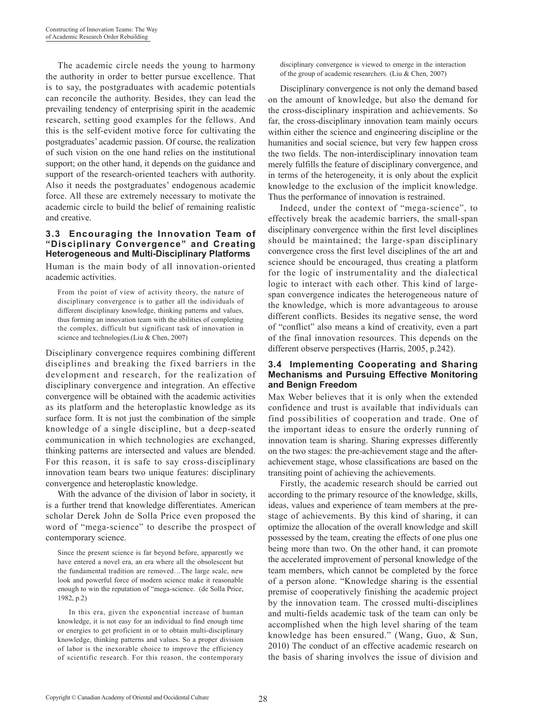The academic circle needs the young to harmony the authority in order to better pursue excellence. That is to say, the postgraduates with academic potentials can reconcile the authority. Besides, they can lead the prevailing tendency of enterprising spirit in the academic research, setting good examples for the fellows. And this is the self-evident motive force for cultivating the postgraduates' academic passion. Of course, the realization of such vision on the one hand relies on the institutional support; on the other hand, it depends on the guidance and support of the research-oriented teachers with authority. Also it needs the postgraduates' endogenous academic force. All these are extremely necessary to motivate the academic circle to build the belief of remaining realistic and creative.

#### **3.3 Encouraging the Innovation Team of "Disciplinary Convergence" and Creating Heterogeneous and Multi-Disciplinary Platforms**

Human is the main body of all innovation-oriented academic activities.

From the point of view of activity theory, the nature of disciplinary convergence is to gather all the individuals of different disciplinary knowledge, thinking patterns and values, thus forming an innovation team with the abilities of completing the complex, difficult but significant task of innovation in science and technologies.(Liu & Chen, 2007)

Disciplinary convergence requires combining different disciplines and breaking the fixed barriers in the development and research, for the realization of disciplinary convergence and integration. An effective convergence will be obtained with the academic activities as its platform and the heteroplastic knowledge as its surface form. It is not just the combination of the simple knowledge of a single discipline, but a deep-seated communication in which technologies are exchanged, thinking patterns are intersected and values are blended. For this reason, it is safe to say cross-disciplinary innovation team bears two unique features: disciplinary convergence and heteroplastic knowledge.

With the advance of the division of labor in society, it is a further trend that knowledge differentiates. American scholar Derek John de Solla Price even proposed the word of "mega-science" to describe the prospect of contemporary science.

Since the present science is far beyond before, apparently we have entered a novel era, an era where all the obsolescent but the fundamental tradition are removed…The large scale, new look and powerful force of modern science make it reasonable enough to win the reputation of "mega-science. (de Solla Price, 1982, p.2)

 In this era, given the exponential increase of human knowledge, it is not easy for an individual to find enough time or energies to get proficient in or to obtain multi-disciplinary knowledge, thinking patterns and values. So a proper division of labor is the inexorable choice to improve the efficiency of scientific research. For this reason, the contemporary

disciplinary convergence is viewed to emerge in the interaction of the group of academic researchers.(Liu & Chen, 2007)

Disciplinary convergence is not only the demand based on the amount of knowledge, but also the demand for the cross-disciplinary inspiration and achievements. So far, the cross-disciplinary innovation team mainly occurs within either the science and engineering discipline or the humanities and social science, but very few happen cross the two fields. The non-interdisciplinary innovation team merely fulfills the feature of disciplinary convergence, and in terms of the heterogeneity, it is only about the explicit knowledge to the exclusion of the implicit knowledge. Thus the performance of innovation is restrained.

Indeed, under the context of "mega-science", to effectively break the academic barriers, the small-span disciplinary convergence within the first level disciplines should be maintained; the large-span disciplinary convergence cross the first level disciplines of the art and science should be encouraged, thus creating a platform for the logic of instrumentality and the dialectical logic to interact with each other. This kind of largespan convergence indicates the heterogeneous nature of the knowledge, which is more advantageous to arouse different conflicts. Besides its negative sense, the word of "conflict" also means a kind of creativity, even a part of the final innovation resources. This depends on the different observe perspectives (Harris, 2005, p.242).

#### **3.4 Implementing Cooperating and Sharing Mechanisms and Pursuing Effective Monitoring and Benign Freedom**

Max Weber believes that it is only when the extended confidence and trust is available that individuals can find possibilities of cooperation and trade. One of the important ideas to ensure the orderly running of innovation team is sharing. Sharing expresses differently on the two stages: the pre-achievement stage and the afterachievement stage, whose classifications are based on the transiting point of achieving the achievements.

Firstly, the academic research should be carried out according to the primary resource of the knowledge, skills, ideas, values and experience of team members at the prestage of achievements. By this kind of sharing, it can optimize the allocation of the overall knowledge and skill possessed by the team, creating the effects of one plus one being more than two. On the other hand, it can promote the accelerated improvement of personal knowledge of the team members, which cannot be completed by the force of a person alone. "Knowledge sharing is the essential premise of cooperatively finishing the academic project by the innovation team. The crossed multi-disciplines and multi-fields academic task of the team can only be accomplished when the high level sharing of the team knowledge has been ensured." (Wang, Guo, & Sun, 2010) The conduct of an effective academic research on the basis of sharing involves the issue of division and